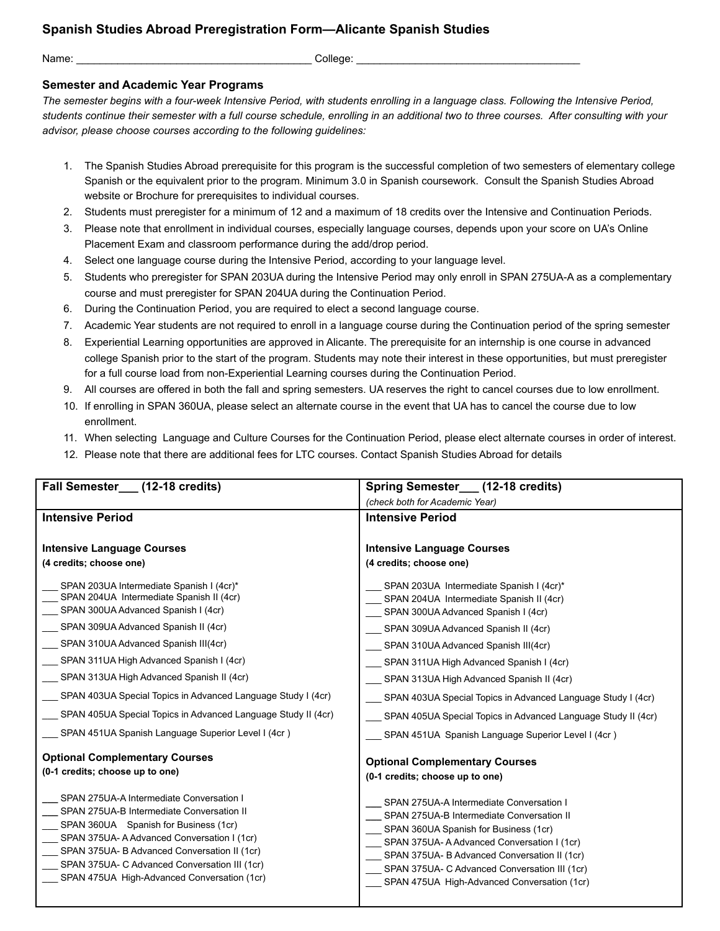## **Spanish Studies Abroad Preregistration Form—Alicante Spanish Studies**

Name: \_\_\_\_\_\_\_\_\_\_\_\_\_\_\_\_\_\_\_\_\_\_\_\_\_\_\_\_\_\_\_\_\_\_\_\_\_\_\_\_ College: \_\_\_\_\_\_\_\_\_\_\_\_\_\_\_\_\_\_\_\_\_\_\_\_\_\_\_\_\_\_\_\_\_\_\_\_\_\_

## **Semester and Academic Year Programs**

*The semester begins with a four-week Intensive Period, with students enrolling in a language class. Following the Intensive Period, students continue their semester with a full course schedule, enrolling in an additional two to three courses. After consulting with your advisor, please choose courses according to the following guidelines:*

- 1. The Spanish Studies Abroad prerequisite for this program is the successful completion of two semesters of elementary college Spanish or the equivalent prior to the program. Minimum 3.0 in Spanish coursework. Consult the Spanish Studies Abroad website or Brochure for prerequisites to individual courses.
- 2. Students must preregister for a minimum of 12 and a maximum of 18 credits over the Intensive and Continuation Periods.
- 3. Please note that enrollment in individual courses, especially language courses, depends upon your score on UA's Online Placement Exam and classroom performance during the add/drop period.
- 4. Select one language course during the Intensive Period, according to your language level.
- 5. Students who preregister for SPAN 203UA during the Intensive Period may only enroll in SPAN 275UA-A as a complementary course and must preregister for SPAN 204UA during the Continuation Period.
- 6. During the Continuation Period, you are required to elect a second language course.
- 7. Academic Year students are not required to enroll in a language course during the Continuation period of the spring semester
- 8. Experiential Learning opportunities are approved in Alicante. The prerequisite for an internship is one course in advanced college Spanish prior to the start of the program. Students may note their interest in these opportunities, but must preregister for a full course load from non-Experiential Learning courses during the Continuation Period.
- 9. All courses are offered in both the fall and spring semesters. UA reserves the right to cancel courses due to low enrollment.
- 10. If enrolling in SPAN 360UA, please select an alternate course in the event that UA has to cancel the course due to low enrollment.
- 11. When selecting Language and Culture Courses for the Continuation Period, please elect alternate courses in order of interest.
- 12. Please note that there are additional fees for LTC courses. Contact Spanish Studies Abroad for details

| Fall Semester (12-18 credits)                                 | Spring Semester (12-18 credits)                                                       |
|---------------------------------------------------------------|---------------------------------------------------------------------------------------|
|                                                               | (check both for Academic Year)                                                        |
| <b>Intensive Period</b>                                       | <b>Intensive Period</b>                                                               |
|                                                               |                                                                                       |
| <b>Intensive Language Courses</b>                             | <b>Intensive Language Courses</b>                                                     |
| (4 credits; choose one)                                       | (4 credits; choose one)                                                               |
| SPAN 203UA Intermediate Spanish I (4cr)*                      | SPAN 203UA Intermediate Spanish I (4cr)*                                              |
| SPAN 204UA Intermediate Spanish II (4cr)                      | SPAN 204UA Intermediate Spanish II (4cr)                                              |
| SPAN 300UA Advanced Spanish I (4cr)                           | SPAN 300UA Advanced Spanish I (4cr)                                                   |
| SPAN 309UA Advanced Spanish II (4cr)                          | SPAN 309UA Advanced Spanish II (4cr)                                                  |
| SPAN 310UA Advanced Spanish III(4cr)                          | SPAN 310UA Advanced Spanish III(4cr)                                                  |
| SPAN 311UA High Advanced Spanish I (4cr)                      | SPAN 311UA High Advanced Spanish I (4cr)                                              |
| SPAN 313UA High Advanced Spanish II (4cr)                     | __ SPAN 313UA High Advanced Spanish II (4cr)                                          |
| SPAN 403UA Special Topics in Advanced Language Study I (4cr)  | SPAN 403UA Special Topics in Advanced Language Study I (4cr)                          |
| SPAN 405UA Special Topics in Advanced Language Study II (4cr) | SPAN 405UA Special Topics in Advanced Language Study II (4cr)                         |
| SPAN 451UA Spanish Language Superior Level I (4cr)            | SPAN 451UA Spanish Language Superior Level I (4cr)                                    |
| <b>Optional Complementary Courses</b>                         | <b>Optional Complementary Courses</b>                                                 |
| (0-1 credits; choose up to one)                               | (0-1 credits; choose up to one)                                                       |
| SPAN 275UA-A Intermediate Conversation I                      |                                                                                       |
| SPAN 275UA-B Intermediate Conversation II                     | SPAN 275UA-A Intermediate Conversation I<br>SPAN 275UA-B Intermediate Conversation II |
| SPAN 360UA Spanish for Business (1cr)                         | SPAN 360UA Spanish for Business (1cr)                                                 |
| SPAN 375UA- A Advanced Conversation I (1cr)                   | _SPAN 375UA-A Advanced Conversation I (1cr)                                           |
| SPAN 375UA- B Advanced Conversation II (1cr)                  | SPAN 375UA- B Advanced Conversation II (1cr)                                          |
| SPAN 375UA- C Advanced Conversation III (1cr)                 | SPAN 375UA- C Advanced Conversation III (1cr)                                         |
| SPAN 475UA High-Advanced Conversation (1cr)                   | SPAN 475UA High-Advanced Conversation (1cr)                                           |
|                                                               |                                                                                       |